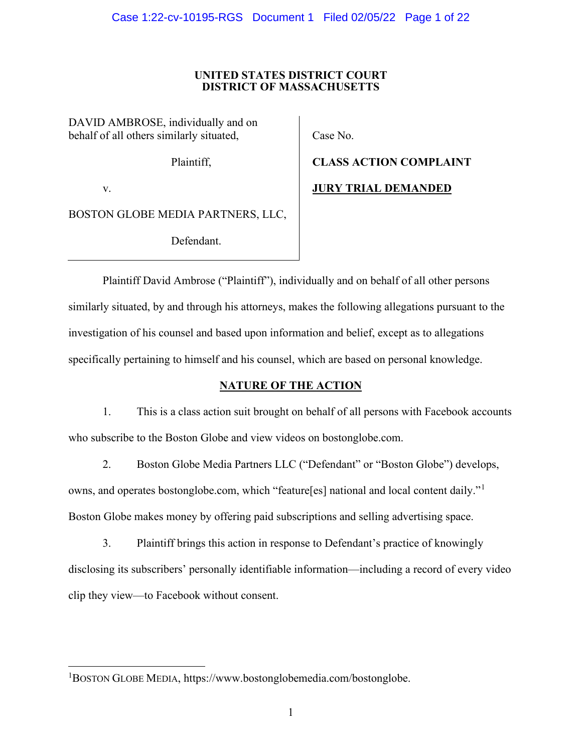### **UNITED STATES DISTRICT COURT DISTRICT OF MASSACHUSETTS**

DAVID AMBROSE, individually and on behalf of all others similarly situated,

Plaintiff,

v.

BOSTON GLOBE MEDIA PARTNERS, LLC,

Defendant.

Case No.

**CLASS ACTION COMPLAINT JURY TRIAL DEMANDED**

Plaintiff David Ambrose ("Plaintiff"), individually and on behalf of all other persons similarly situated, by and through his attorneys, makes the following allegations pursuant to the investigation of his counsel and based upon information and belief, except as to allegations specifically pertaining to himself and his counsel, which are based on personal knowledge.

## **NATURE OF THE ACTION**

1. This is a class action suit brought on behalf of all persons with Facebook accounts who subscribe to the Boston Globe and view videos on bostonglobe.com.

2. Boston Globe Media Partners LLC ("Defendant" or "Boston Globe") develops, owns, and operates bostonglobe.com, which "feature[es] national and local content daily."<sup>[1](#page-0-0)</sup> Boston Globe makes money by offering paid subscriptions and selling advertising space.

3. Plaintiff brings this action in response to Defendant's practice of knowingly disclosing its subscribers' personally identifiable information—including a record of every video clip they view—to Facebook without consent.

<span id="page-0-0"></span><sup>1</sup>BOSTON GLOBE MEDIA, https://www.bostonglobemedia.com/bostonglobe.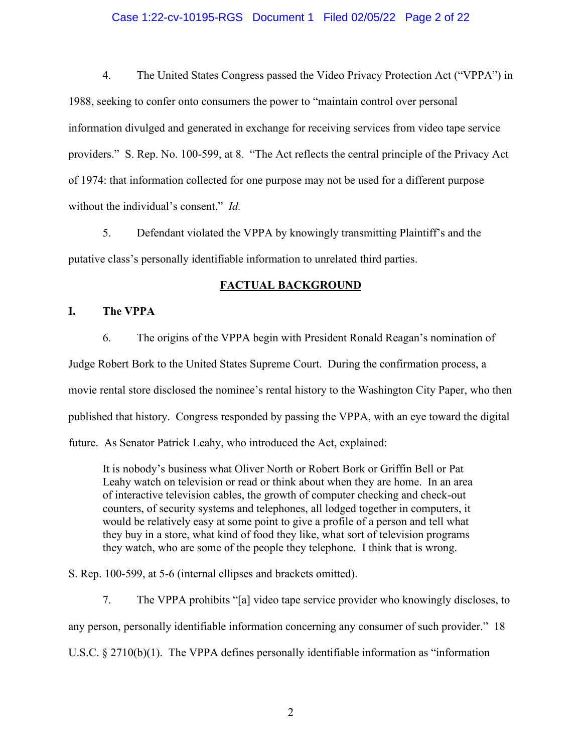#### Case 1:22-cv-10195-RGS Document 1 Filed 02/05/22 Page 2 of 22

4. The United States Congress passed the Video Privacy Protection Act ("VPPA") in 1988, seeking to confer onto consumers the power to "maintain control over personal information divulged and generated in exchange for receiving services from video tape service providers." S. Rep. No. 100-599, at 8. "The Act reflects the central principle of the Privacy Act of 1974: that information collected for one purpose may not be used for a different purpose without the individual's consent." *Id.*

5. Defendant violated the VPPA by knowingly transmitting Plaintiff's and the putative class's personally identifiable information to unrelated third parties.

### **FACTUAL BACKGROUND**

### **I. The VPPA**

6. The origins of the VPPA begin with President Ronald Reagan's nomination of Judge Robert Bork to the United States Supreme Court. During the confirmation process, a movie rental store disclosed the nominee's rental history to the Washington City Paper, who then published that history. Congress responded by passing the VPPA, with an eye toward the digital future. As Senator Patrick Leahy, who introduced the Act, explained:

It is nobody's business what Oliver North or Robert Bork or Griffin Bell or Pat Leahy watch on television or read or think about when they are home. In an area of interactive television cables, the growth of computer checking and check-out counters, of security systems and telephones, all lodged together in computers, it would be relatively easy at some point to give a profile of a person and tell what they buy in a store, what kind of food they like, what sort of television programs they watch, who are some of the people they telephone. I think that is wrong.

S. Rep. 100-599, at 5-6 (internal ellipses and brackets omitted).

7. The VPPA prohibits "[a] video tape service provider who knowingly discloses, to any person, personally identifiable information concerning any consumer of such provider." 18 U.S.C. § 2710(b)(1). The VPPA defines personally identifiable information as "information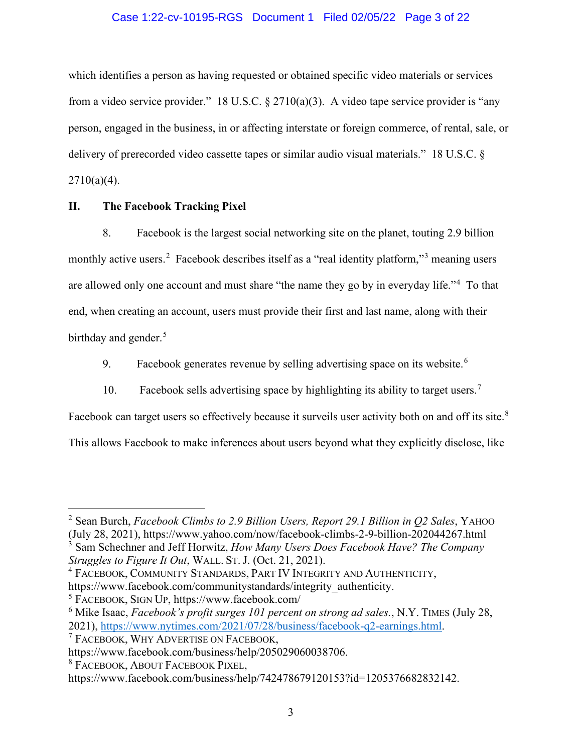### Case 1:22-cv-10195-RGS Document 1 Filed 02/05/22 Page 3 of 22

which identifies a person as having requested or obtained specific video materials or services from a video service provider." 18 U.S.C. § 2710(a)(3). A video tape service provider is "any person, engaged in the business, in or affecting interstate or foreign commerce, of rental, sale, or delivery of prerecorded video cassette tapes or similar audio visual materials." 18 U.S.C. §  $2710(a)(4)$ .

### **II. The Facebook Tracking Pixel**

8. Facebook is the largest social networking site on the planet, touting 2.9 billion monthly active users.<sup>[2](#page-2-0)</sup> Facebook describes itself as a "real identity platform,"<sup>[3](#page-2-1)</sup> meaning users are allowed only one account and must share "the name they go by in everyday life."<sup>[4](#page-2-2)</sup> To that end, when creating an account, users must provide their first and last name, along with their birthday and gender.<sup>[5](#page-2-3)</sup>

9. Facebook generates revenue by selling advertising space on its website.<sup>[6](#page-2-4)</sup>

10. Facebook sells advertising space by highlighting its ability to target users.<sup>[7](#page-2-5)</sup>

Facebook can target users so effectively because it surveils user activity both on and off its site.<sup>[8](#page-2-6)</sup>

This allows Facebook to make inferences about users beyond what they explicitly disclose, like

<span id="page-2-3"></span>5 FACEBOOK, SIGN UP, https://www.facebook.com/

8 FACEBOOK, ABOUT FACEBOOK PIXEL,

<span id="page-2-0"></span><sup>2</sup> Sean Burch, *Facebook Climbs to 2.9 Billion Users, Report 29.1 Billion in Q2 Sales*, YAHOO (July 28, 2021), https://www.yahoo.com/now/facebook-climbs-2-9-billion-202044267.html <sup>3</sup> Sam Schechner and Jeff Horwitz, *How Many Users Does Facebook Have? The Company Struggles to Figure It Out*, WALL. ST. J. (Oct. 21, 2021).

<span id="page-2-2"></span><span id="page-2-1"></span><sup>4</sup> FACEBOOK, COMMUNITY STANDARDS, PART IV INTEGRITY AND AUTHENTICITY, https://www.facebook.com/communitystandards/integrity\_authenticity.

<span id="page-2-4"></span><sup>6</sup> Mike Isaac, *Facebook's profit surges 101 percent on strong ad sales.*, N.Y. TIMES (July 28, 2021), [https://www.nytimes.com/2021/07/28/business/facebook-q2-earnings.html.](https://www.nytimes.com/2021/07/28/business/facebook-q2-earnings.html)

<span id="page-2-5"></span><sup>7</sup> FACEBOOK, WHY ADVERTISE ON FACEBOOK,

https://www.facebook.com/business/help/205029060038706.

<span id="page-2-6"></span>https://www.facebook.com/business/help/742478679120153?id=1205376682832142.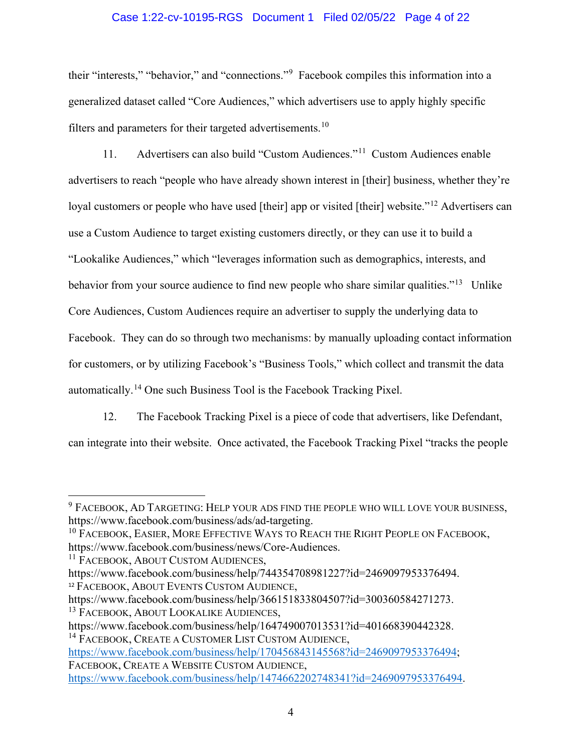### Case 1:22-cv-10195-RGS Document 1 Filed 02/05/22 Page 4 of 22

their "interests," "behavior," and "connections."[9](#page-3-0) Facebook compiles this information into a generalized dataset called "Core Audiences," which advertisers use to apply highly specific filters and parameters for their targeted advertisements.[10](#page-3-1)

11. Advertisers can also build "Custom Audiences."[11](#page-3-2) Custom Audiences enable advertisers to reach "people who have already shown interest in [their] business, whether they're loyal customers or people who have used [their] app or visited [their] website."<sup>[12](#page-3-3)</sup> Advertisers can use a Custom Audience to target existing customers directly, or they can use it to build a "Lookalike Audiences," which "leverages information such as demographics, interests, and behavior from your source audience to find new people who share similar qualities."<sup>[13](#page-3-4)</sup> Unlike Core Audiences, Custom Audiences require an advertiser to supply the underlying data to Facebook. They can do so through two mechanisms: by manually uploading contact information for customers, or by utilizing Facebook's "Business Tools," which collect and transmit the data automatically.[14](#page-3-5) One such Business Tool is the Facebook Tracking Pixel.

12. The Facebook Tracking Pixel is a piece of code that advertisers, like Defendant, can integrate into their website. Once activated, the Facebook Tracking Pixel "tracks the people

<span id="page-3-2"></span><sup>11</sup> FACEBOOK, ABOUT CUSTOM AUDIENCES,

<span id="page-3-5"></span>https://www.facebook.com/business/help/164749007013531?id=401668390442328. <sup>14</sup> FACEBOOK, CREATE A CUSTOMER LIST CUSTOM AUDIENCE,

[https://www.facebook.com/business/help/170456843145568?id=2469097953376494;](https://www.facebook.com/business/help/170456843145568?id=2469097953376494) FACEBOOK, CREATE A WEBSITE CUSTOM AUDIENCE, [https://www.facebook.com/business/help/1474662202748341?id=2469097953376494.](https://www.facebook.com/business/help/1474662202748341?id=2469097953376494)

<span id="page-3-0"></span><sup>&</sup>lt;sup>9</sup> Facebook, Ad Targeting: Help your ads find the people who will love your business, https://www.facebook.com/business/ads/ad-targeting.

<span id="page-3-1"></span><sup>&</sup>lt;sup>10</sup> FACEBOOK, EASIER, MORE EFFECTIVE WAYS TO REACH THE RIGHT PEOPLE ON FACEBOOK, https://www.facebook.com/business/news/Core-Audiences.

https://www.facebook.com/business/help/744354708981227?id=2469097953376494. <sup>12</sup> FACEBOOK, ABOUT EVENTS CUSTOM AUDIENCE,

<span id="page-3-4"></span><span id="page-3-3"></span>https://www.facebook.com/business/help/366151833804507?id=300360584271273. <sup>13</sup> FACEBOOK, ABOUT LOOKALIKE AUDIENCES,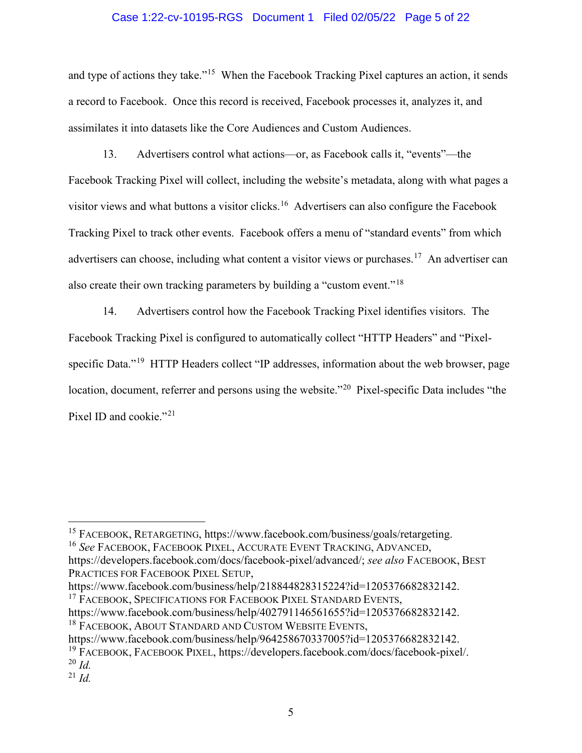#### Case 1:22-cv-10195-RGS Document 1 Filed 02/05/22 Page 5 of 22

and type of actions they take."<sup>[15](#page-4-0)</sup> When the Facebook Tracking Pixel captures an action, it sends a record to Facebook. Once this record is received, Facebook processes it, analyzes it, and assimilates it into datasets like the Core Audiences and Custom Audiences.

13. Advertisers control what actions—or, as Facebook calls it, "events"—the Facebook Tracking Pixel will collect, including the website's metadata, along with what pages a visitor views and what buttons a visitor clicks.<sup>[16](#page-4-1)</sup> Advertisers can also configure the Facebook Tracking Pixel to track other events. Facebook offers a menu of "standard events" from which advertisers can choose, including what content a visitor views or purchases.<sup>[17](#page-4-2)</sup> An advertiser can also create their own tracking parameters by building a "custom event."[18](#page-4-3)

14. Advertisers control how the Facebook Tracking Pixel identifies visitors. The Facebook Tracking Pixel is configured to automatically collect "HTTP Headers" and "Pixel-specific Data."<sup>[19](#page-4-4)</sup> HTTP Headers collect "IP addresses, information about the web browser, page location, document, referrer and persons using the website."<sup>[20](#page-4-5)</sup> Pixel-specific Data includes "the Pixel ID and cookie."<sup>[21](#page-4-6)</sup>

<span id="page-4-1"></span>https://developers.facebook.com/docs/facebook-pixel/advanced/; *see also* FACEBOOK, BEST PRACTICES FOR FACEBOOK PIXEL SETUP,

<span id="page-4-2"></span>https://www.facebook.com/business/help/218844828315224?id=1205376682832142. <sup>17</sup> FACEBOOK, SPECIFICATIONS FOR FACEBOOK PIXEL STANDARD EVENTS,

<span id="page-4-0"></span><sup>15</sup> FACEBOOK, RETARGETING, https://www.facebook.com/business/goals/retargeting. <sup>16</sup> *See* FACEBOOK, FACEBOOK PIXEL, ACCURATE EVENT TRACKING, ADVANCED,

<span id="page-4-3"></span>https://www.facebook.com/business/help/402791146561655?id=1205376682832142. <sup>18</sup> FACEBOOK, ABOUT STANDARD AND CUSTOM WEBSITE EVENTS,

https://www.facebook.com/business/help/964258670337005?id=1205376682832142.

<span id="page-4-5"></span><span id="page-4-4"></span><sup>&</sup>lt;sup>19</sup> FACEBOOK, FACEBOOK PIXEL, https://developers.facebook.com/docs/facebook-pixel/. <sup>20</sup> *Id.*

<span id="page-4-6"></span> $^{21}$  *Id.*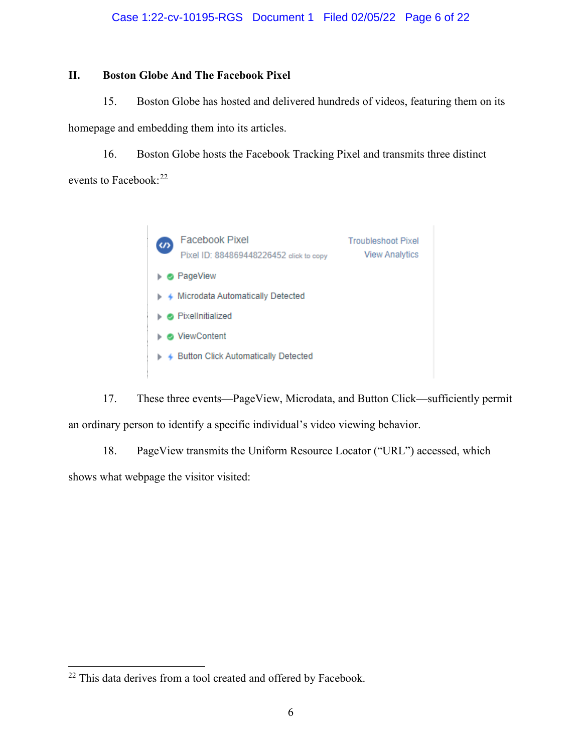## **II. Boston Globe And The Facebook Pixel**

15. Boston Globe has hosted and delivered hundreds of videos, featuring them on its homepage and embedding them into its articles.

16. Boston Globe hosts the Facebook Tracking Pixel and transmits three distinct events to Facebook:<sup>[22](#page-5-0)</sup>



17. These three events—PageView, Microdata, and Button Click—sufficiently permit an ordinary person to identify a specific individual's video viewing behavior.

18. PageView transmits the Uniform Resource Locator ("URL") accessed, which shows what webpage the visitor visited:

<span id="page-5-0"></span><sup>&</sup>lt;sup>22</sup> This data derives from a tool created and offered by Facebook.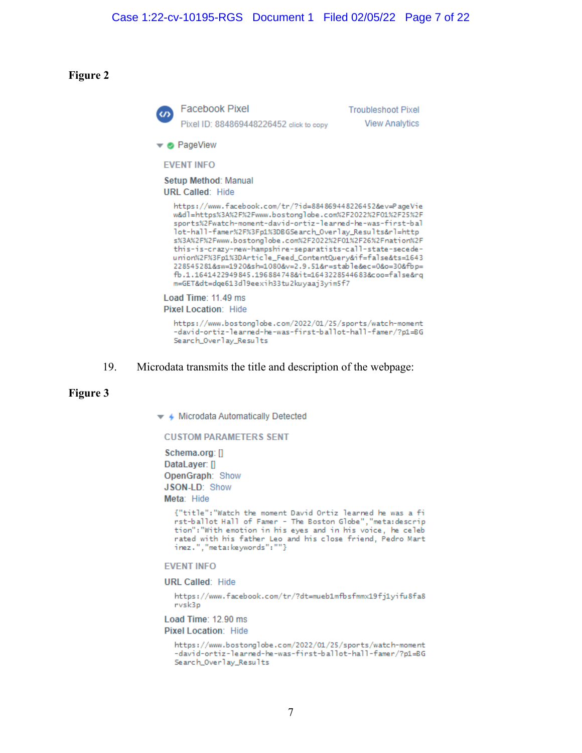**Figure 2**

**Facebook Pixel Troubleshoot Pixel**  $\overline{a}$ Pixel ID: 884869448226452 click to copy **View Analytics**  $\blacktriangledown$  **O** PageView **EVENT INFO Setup Method: Manual URL Called: Hide** https://www.facebook.com/tr/?id=884869448226452&ev=PageVie w&dl=https%3A%2F%2Fwww.bostonglobe.com%2F2022%2F01%2F25%2F sports%2Fwatch-moment-david-ortiz-learned-he-was-first-bal lot-hall-famer%2F%3Fp1%3DBGSearch\_Overlay\_Results&rl=http s%3A%2F%2Fwww.bostonglobe.com%2F2022%2F01%2F26%2Fnation%2F this-is-crazy-new-hampshire-separatists-call-state-secedeunion%2F%3Fp1%3DArticle\_Feed\_ContentQuery&if=false&ts=1643 228545281&sw=1920&sh=1080&v=2.9.51&r=stable&ec=0&o=30&fbp= fb.1.1641422949845.196884748&it=1643228544683&coo=false&rq m=GET&dt=dqe613dl9eexih33tu2kuyaaj3yim5f7 Load Time: 11.49 ms

**Pixel Location: Hide** 

https://www.bostonglobe.com/2022/01/25/sports/watch-moment -david-ortiz-learned-he-was-first-ballot-hall-famer/?p1=BG Search\_Overlay\_Results

19. Microdata transmits the title and description of the webpage:

#### **Figure 3**

▼ 4 Microdata Automatically Detected

**CUSTOM PARAMETERS SENT** 

Schema.org: [] DataLayer: [] OpenGraph: Show JSON-LD: Show Meta: Hide

> {"title":"Watch the moment David Ortiz learned he was a fi rst-ballot Hall of Famer - The Boston Globe", "meta: descrip tion": "With emotion in his eyes and in his voice, he celeb rated with his father Leo and his close friend, Pedro Mart inez.","meta:keywords":""}

#### **EVENT INFO**

**URL Called: Hide** 

https://www.facebook.com/tr/?dt=mueb1mfbsfmmx19fj1yifu8fa8 rvsk3p

Load Time: 12.90 ms

**Pixel Location: Hide** 

https://www.bostonglobe.com/2022/01/25/sports/watch-moment -david-ortiz-learned-he-was-first-ballot-hall-famer/?p1=BG Search\_Overlay\_Results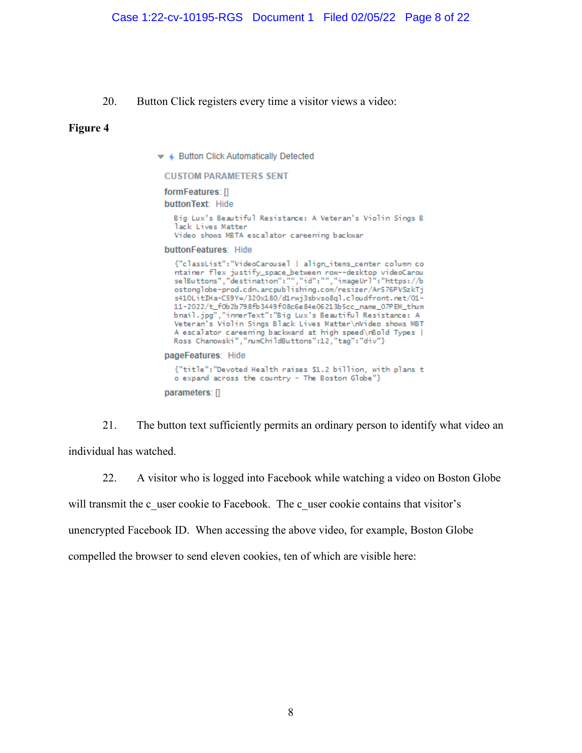20. Button Click registers every time a visitor views a video:

#### **Figure 4**

▼ 4 Button Click Automatically Detected

**CUSTOM PARAMETERS SENT** 

formFeatures: [] buttonText: Hide

> Big Lux's Beautiful Resistance: A Veteran's Violin Sings B lack Lives Matter Video shows MBTA escalator careening backwar

buttonFeatures: Hide

```
{"classList":"VideoCarousel | align_items_center column co
  t classist: videocardusel | align_items_center column co<br>htainer flex justify_space_between row--desktop videoCardu<br>selButtons","destination":"","id":"","imageUrl":"https://b<br>ostonglobe-prod.cdn.arcpublishing.com/resizer/A
   s410LitIHa-C59Y=/320x180/d1rwj3sbvso8ql.cloudfront.net/01-
  11-2022/t_f0b2b798fb3449f08c6e84e06213b5cc_name_07PEM_thum
  bnail.jpg","innerText":"Big Lux's Beautiful Resistance: A
   Veteran's Violin Sings Black Lives Matter\nVideo shows MBT
  A escalator careening backward at high speed\rBold Types |<br>Ross Chanowski","numChildButtons":12,"tag":"div"}
pageFeatures: Hide
   {"title": "Devoted Health raises $1.2 billion, with plans t
   o expand across the country - The Boston Globe"}
```
parameters: []

21. The button text sufficiently permits an ordinary person to identify what video an individual has watched.

22. A visitor who is logged into Facebook while watching a video on Boston Globe will transmit the c\_user cookie to Facebook. The c\_user cookie contains that visitor's unencrypted Facebook ID. When accessing the above video, for example, Boston Globe compelled the browser to send eleven cookies, ten of which are visible here: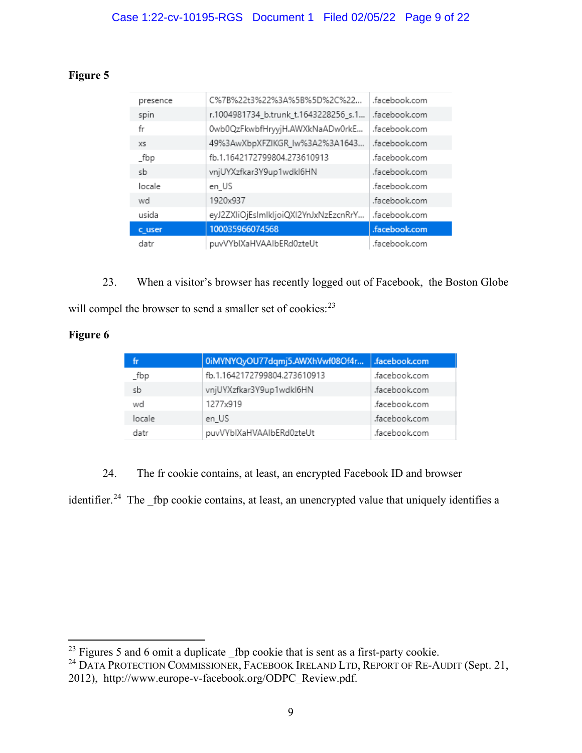# **Figure 5**

| C%7B%22t3%22%3A%5B%5D%2C%22           | .facebook.com |
|---------------------------------------|---------------|
| r.1004981734_b.trunk_t.1643228256_s.1 | .facebook.com |
| 0wb0QzFkwbfHryyjH.AWXkNaADw0rkE       | .facebook.com |
| 49%3AwXbpXFZIKGR_Iw%3A2%3A1643        | .facebook.com |
| fb.1.1642172799804.273610913          | .facebook.com |
| vnjUYXzfkar3Y9up1wdkl6HN              | .facebook.com |
| en US                                 | .facebook.com |
| 1920x937                              | .facebook.com |
| eyJ2ZXIiOjEsImIkljoiQXI2YnJxNzEzcnRrY | .facebook.com |
| 100035966074568                       | .facebook.com |
| puvVYbIXaHVAAIbERd0zteUt              | .facebook.com |
|                                       |               |

23. When a visitor's browser has recently logged out of Facebook, the Boston Globe will compel the browser to send a smaller set of cookies:<sup>[23](#page-8-0)</sup>

## **Figure 6**

| fr     | 0iMYNYQyOU77dqmj5.AWXhVwf08Of4r | l .facebook.com |
|--------|---------------------------------|-----------------|
| fbp    | fb.1.1642172799804.273610913    | .facebook.com   |
| sb     | vnjUYXzfkar3Y9up1wdkl6HN        | .facebook.com   |
| wd     | 1277x919                        | .facebook.com   |
| locale | en US                           | .facebook.com   |
| datr   | puvVYbIXaHVAAIbERd0zteUt        | .facebook.com   |

24. The fr cookie contains, at least, an encrypted Facebook ID and browser

identifier.<sup>[24](#page-8-1)</sup> The fbp cookie contains, at least, an unencrypted value that uniquely identifies a

<span id="page-8-0"></span><sup>&</sup>lt;sup>23</sup> Figures 5 and 6 omit a duplicate \_fbp cookie that is sent as a first-party cookie.

<span id="page-8-1"></span><sup>&</sup>lt;sup>24</sup> DATA PROTECTION COMMISSIONER, FACEBOOK IRELAND LTD, REPORT OF RE-AUDIT (Sept. 21, 2012), http://www.europe-v-facebook.org/ODPC\_Review.pdf.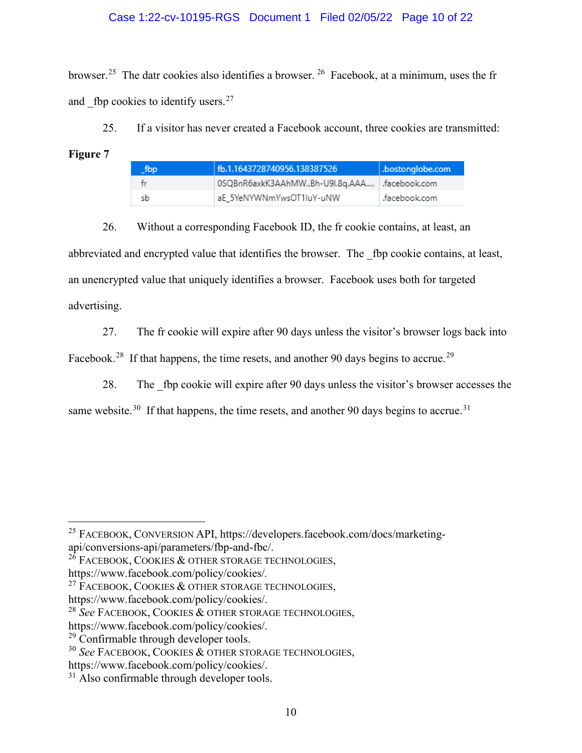### Case 1:22-cv-10195-RGS Document 1 Filed 02/05/22 Page 10 of 22

browser.<sup>[25](#page-9-0)</sup> The datr cookies also identifies a browser.<sup>[26](#page-9-1)</sup> Facebook, at a minimum, uses the fr and  $\beta$  fbp cookies to identify users.<sup>[27](#page-9-2)</sup>

25. If a visitor has never created a Facebook account, three cookies are transmitted:

**Figure 7**

| $-fbp$ | fb.1.1643728740956.138387526                   | bostonglobe.com |
|--------|------------------------------------------------|-----------------|
| fr     | 0SQBnR6axkK3AAhMWBh-U9I.8q.AAA   .facebook.com |                 |
| sb     | aE_5YeNYWNmYwsOT1luY-uNW                       | .facebook.com   |

26. Without a corresponding Facebook ID, the fr cookie contains, at least, an abbreviated and encrypted value that identifies the browser. The fbp cookie contains, at least, an unencrypted value that uniquely identifies a browser. Facebook uses both for targeted advertising.

27. The fr cookie will expire after 90 days unless the visitor's browser logs back into Facebook.<sup>[28](#page-9-3)</sup> If that happens, the time resets, and another 90 days begins to accrue.<sup>[29](#page-9-4)</sup>

28. The fbp cookie will expire after 90 days unless the visitor's browser accesses the same website.<sup>[30](#page-9-5)</sup> If that happens, the time resets, and another 90 days begins to accrue.<sup>[31](#page-9-6)</sup>

https://www.facebook.com/policy/cookies/*.*

https://www.facebook.com/policy/cookies/.

<span id="page-9-3"></span><sup>28</sup> *See* FACEBOOK, COOKIES & OTHER STORAGE TECHNOLOGIES,

<span id="page-9-0"></span><sup>25</sup> FACEBOOK, CONVERSION API, https://developers.facebook.com/docs/marketingapi/conversions-api/parameters/fbp-and-fbc/.

<span id="page-9-1"></span><sup>&</sup>lt;sup>26</sup> FACEBOOK, COOKIES & OTHER STORAGE TECHNOLOGIES,

<span id="page-9-2"></span><sup>27</sup> FACEBOOK, COOKIES & OTHER STORAGE TECHNOLOGIES,

https://www.facebook.com/policy/cookies/.

<span id="page-9-4"></span> $29$  Confirmable through developer tools.

<span id="page-9-5"></span><sup>30</sup> *See* FACEBOOK, COOKIES & OTHER STORAGE TECHNOLOGIES,

https://www.facebook.com/policy/cookies/.

<span id="page-9-6"></span><sup>&</sup>lt;sup>31</sup> Also confirmable through developer tools.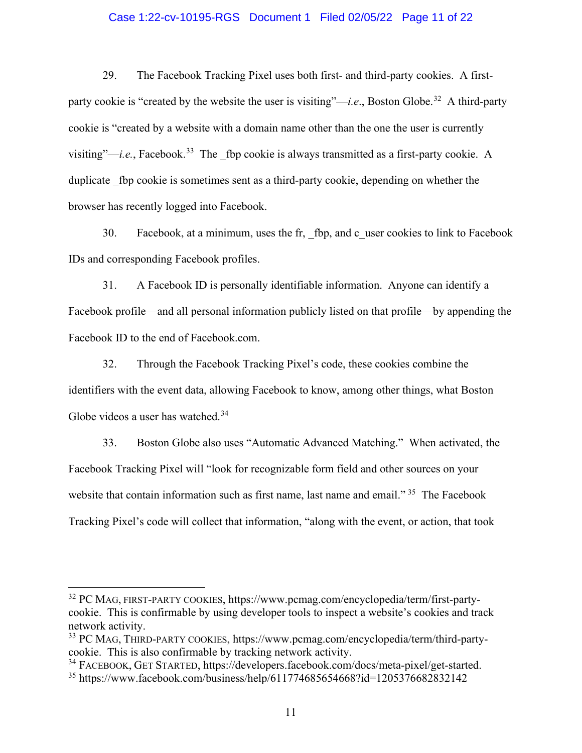#### Case 1:22-cv-10195-RGS Document 1 Filed 02/05/22 Page 11 of 22

29. The Facebook Tracking Pixel uses both first- and third-party cookies. A firstparty cookie is "created by the website the user is visiting"—*i.e.*, Boston Globe.<sup>[32](#page-10-0)</sup> A third-party cookie is "created by a website with a domain name other than the one the user is currently visiting"—*i.e.*, Facebook.<sup>[33](#page-10-1)</sup> The fbp cookie is always transmitted as a first-party cookie. A duplicate for cookie is sometimes sent as a third-party cookie, depending on whether the browser has recently logged into Facebook.

30. Facebook, at a minimum, uses the fr, \_fbp, and c\_user cookies to link to Facebook IDs and corresponding Facebook profiles.

31. A Facebook ID is personally identifiable information. Anyone can identify a Facebook profile—and all personal information publicly listed on that profile—by appending the Facebook ID to the end of Facebook.com.

32. Through the Facebook Tracking Pixel's code, these cookies combine the identifiers with the event data, allowing Facebook to know, among other things, what Boston Globe videos a user has watched.<sup>[34](#page-10-2)</sup>

33. Boston Globe also uses "Automatic Advanced Matching." When activated, the Facebook Tracking Pixel will "look for recognizable form field and other sources on your website that contain information such as first name, last name and email."<sup>[35](#page-10-3)</sup> The Facebook Tracking Pixel's code will collect that information, "along with the event, or action, that took

<span id="page-10-0"></span><sup>32</sup> PC MAG, FIRST-PARTY COOKIES, https://www.pcmag.com/encyclopedia/term/first-partycookie. This is confirmable by using developer tools to inspect a website's cookies and track network activity.

<span id="page-10-1"></span><sup>33</sup> PC MAG, THIRD-PARTY COOKIES, https://www.pcmag.com/encyclopedia/term/third-partycookie. This is also confirmable by tracking network activity.

<span id="page-10-2"></span><sup>34</sup> FACEBOOK, GET STARTED, https://developers.facebook.com/docs/meta-pixel/get-started.

<span id="page-10-3"></span><sup>35</sup> https://www.facebook.com/business/help/611774685654668?id=1205376682832142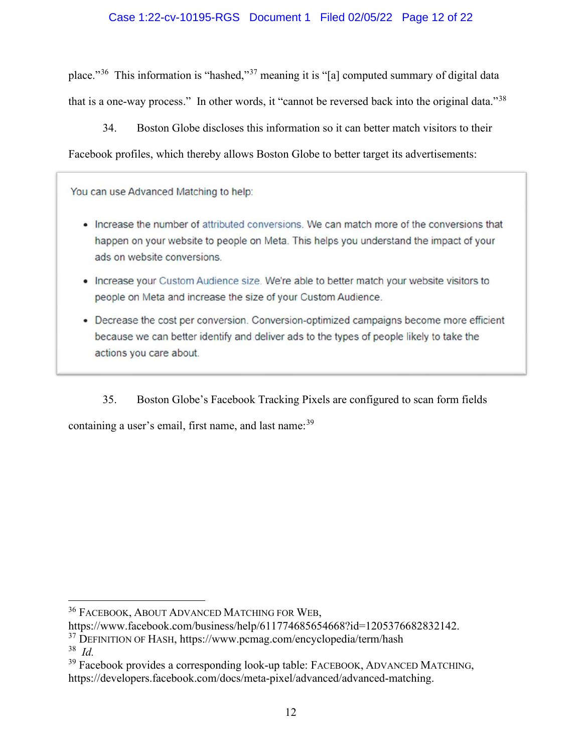### Case 1:22-cv-10195-RGS Document 1 Filed 02/05/22 Page 12 of 22

place."<sup>[36](#page-11-0)</sup> This information is "hashed,"<sup>[37](#page-11-1)</sup> meaning it is "[a] computed summary of digital data that is a one-way process." In other words, it "cannot be reversed back into the original data."<sup>[38](#page-11-2)</sup>

34. Boston Globe discloses this information so it can better match visitors to their Facebook profiles, which thereby allows Boston Globe to better target its advertisements:

You can use Advanced Matching to help:

- Increase the number of attributed conversions. We can match more of the conversions that happen on your website to people on Meta. This helps you understand the impact of your ads on website conversions.
- Increase your Custom Audience size. We're able to better match your website visitors to people on Meta and increase the size of your Custom Audience.
- Decrease the cost per conversion. Conversion-optimized campaigns become more efficient because we can better identify and deliver ads to the types of people likely to take the actions you care about.
	- 35. Boston Globe's Facebook Tracking Pixels are configured to scan form fields

containing a user's email, first name, and last name:<sup>[39](#page-11-3)</sup>

<span id="page-11-2"></span>38 *Id.*

<span id="page-11-0"></span><sup>36</sup> FACEBOOK, ABOUT ADVANCED MATCHING FOR WEB,

https://www.facebook.com/business/help/611774685654668?id=1205376682832142.

<span id="page-11-1"></span><sup>&</sup>lt;sup>37</sup> DEFINITION OF HASH, https://www.pcmag.com/encyclopedia/term/hash

<span id="page-11-3"></span><sup>&</sup>lt;sup>39</sup> Facebook provides a corresponding look-up table: FACEBOOK, ADVANCED MATCHING, https://developers.facebook.com/docs/meta-pixel/advanced/advanced-matching.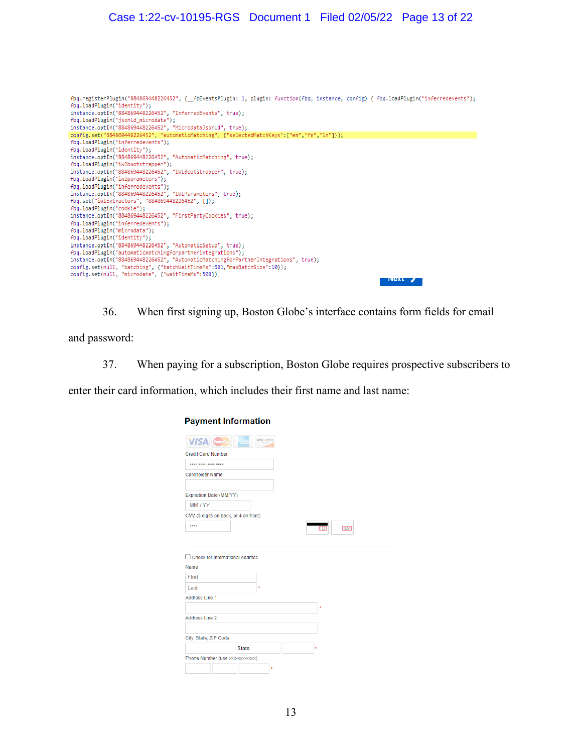### Case 1:22-cv-10195-RGS Document 1 Filed 02/05/22 Page 13 of 22

fbq.registerPlugin("884869448226452", {\_fbEventsPlugin: 1, plugin: function(fbq, instance, config) { fbq.loadPlugin("inferredevents"); For the state ring of the state of the state of the state of the loadPlugin("identity");<br>instance.optIn("884869448226452", "InferredEvents", true);<br>fbq.loadPlugin("jsonld\_microdata");<br>instance.optIn("884869448226452", "Mic config.set("884869448226452", "automaticMatching", {"selectedMatchKeys":["em","fn","ln"]}); fbq.loadPlugin("inferredevents"); fbq.loadPlugin("identity"); instance.optIn("884869448226452", "AutomaticMatching", true); fbq.loadPlugin("iwlbootstrapper");<br>instance.optIn("884869448226452", "IWLBootstrapper", true);<br>fbq.loadPlugin("iwlparameters");<br>fbq.loadPlugin("iwlparameters"); ruq.noorruggin("inferrendeurs");<br>fbq.loadPlugin("inferredeuents");<br>instance.optIn("884869448226452", "IWLParameters", true);<br>fbq.set("iwlExtractors", "884869448226452", []); fbq.loadPlugin("cookie"); instance.optIn("884869448226452", "FirstPartyCookies", true); fbq.loadPlugin("inferredevents"); Foq.10adPlugin("microdata");<br>fbq.loadPlugin("microdata"); instance.optIn("884869448226452", "AutomaticSetup", true);<br>fbq.loadPlugin("automaticmatchingForpartnerintegrations");<br>fbq.loadPlugin("automaticmatchingForpartnerintegrations");<br>instance.optIn("884869448226452", "AutomaticM  $N$ <sub> $\alpha$ </sub>

36. When first signing up, Boston Globe's interface contains form fields for email

and password:

37. When paying for a subscription, Boston Globe requires prospective subscribers to

enter their card information, which includes their first name and last name:

| <b>Payment Information</b> |  |  |  |  |  |
|----------------------------|--|--|--|--|--|
|----------------------------|--|--|--|--|--|

| <b>VISA</b> Mastercard                           | <b>DISCOVER</b> |             |
|--------------------------------------------------|-----------------|-------------|
| <b>Credit Card Number</b>                        |                 |             |
|                                                  |                 |             |
| <b>Cardholder Name</b>                           |                 |             |
|                                                  |                 |             |
| Expiration Date (MM/YY)                          |                 |             |
| MM / YY                                          |                 |             |
| CVV (3 digits on back, or 4 on front)            |                 |             |
|                                                  |                 | 1234<br>123 |
|                                                  |                 |             |
| Check for International Address<br>Name<br>First |                 |             |
| Last                                             | ×               |             |
| <b>Address Line 1</b>                            |                 |             |
| <b>Address Line 2</b>                            |                 | ×           |
| City, State, ZIP Code                            |                 |             |
|                                                  | <b>State</b>    | ×           |
| Phone Number (use xxx-xxx-xxxx)                  |                 |             |
|                                                  | ×               |             |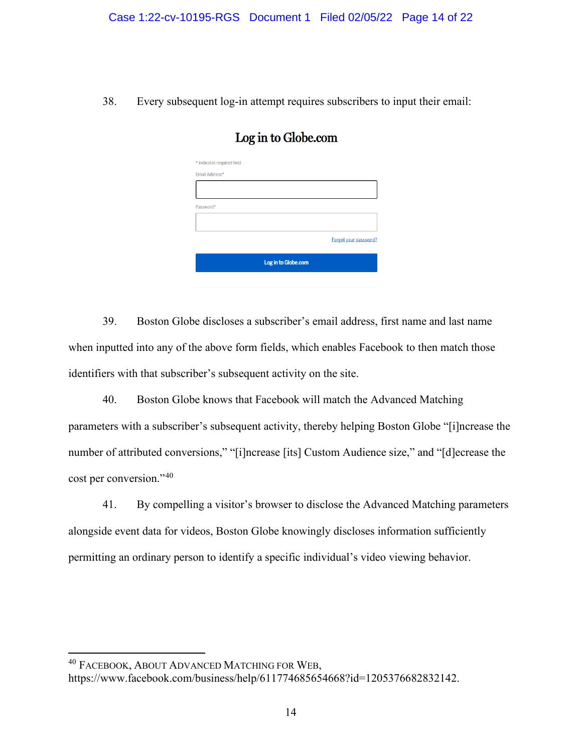38. Every subsequent log-in attempt requires subscribers to input their email:

| * indicates required field |                       |
|----------------------------|-----------------------|
| Email Address*             |                       |
|                            |                       |
|                            |                       |
| Password*                  |                       |
|                            |                       |
|                            |                       |
|                            | Forgot your password? |
|                            |                       |
| Log in to Globe.com        |                       |
|                            |                       |
|                            |                       |

# Log in to Globe.com

39. Boston Globe discloses a subscriber's email address, first name and last name when inputted into any of the above form fields, which enables Facebook to then match those identifiers with that subscriber's subsequent activity on the site.

40. Boston Globe knows that Facebook will match the Advanced Matching parameters with a subscriber's subsequent activity, thereby helping Boston Globe "[i]ncrease the number of attributed conversions," "[i]ncrease [its] Custom Audience size," and "[d]ecrease the cost per conversion."<sup>[40](#page-13-0)</sup>

41. By compelling a visitor's browser to disclose the Advanced Matching parameters alongside event data for videos, Boston Globe knowingly discloses information sufficiently permitting an ordinary person to identify a specific individual's video viewing behavior.

<span id="page-13-0"></span><sup>40</sup> FACEBOOK, ABOUT ADVANCED MATCHING FOR WEB, https://www.facebook.com/business/help/611774685654668?id=1205376682832142.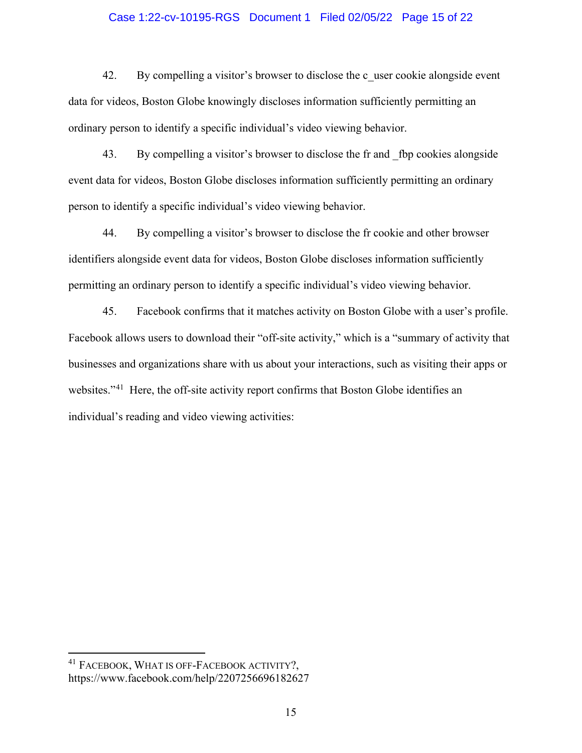#### Case 1:22-cv-10195-RGS Document 1 Filed 02/05/22 Page 15 of 22

42. By compelling a visitor's browser to disclose the c\_user cookie alongside event data for videos, Boston Globe knowingly discloses information sufficiently permitting an ordinary person to identify a specific individual's video viewing behavior.

43. By compelling a visitor's browser to disclose the fr and \_fbp cookies alongside event data for videos, Boston Globe discloses information sufficiently permitting an ordinary person to identify a specific individual's video viewing behavior.

44. By compelling a visitor's browser to disclose the fr cookie and other browser identifiers alongside event data for videos, Boston Globe discloses information sufficiently permitting an ordinary person to identify a specific individual's video viewing behavior.

45. Facebook confirms that it matches activity on Boston Globe with a user's profile. Facebook allows users to download their "off-site activity," which is a "summary of activity that businesses and organizations share with us about your interactions, such as visiting their apps or websites."<sup>[41](#page-14-0)</sup> Here, the off-site activity report confirms that Boston Globe identifies an individual's reading and video viewing activities:

<span id="page-14-0"></span><sup>41</sup> FACEBOOK, WHAT IS OFF-FACEBOOK ACTIVITY?, https://www.facebook.com/help/2207256696182627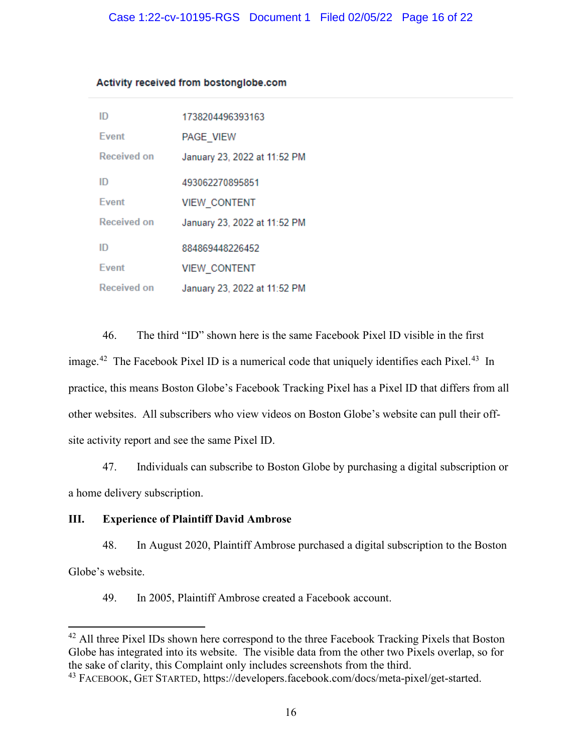#### Activity received from bostonglobe.com

| ID                 | 1738204496393163             |
|--------------------|------------------------------|
| <b>Event</b>       | PAGE VIEW                    |
| <b>Received on</b> | January 23, 2022 at 11:52 PM |
| ID                 | 493062270895851              |
| <b>Event</b>       | <b>VIEW CONTENT</b>          |
| <b>Received on</b> | January 23, 2022 at 11:52 PM |
| ID                 | 884869448226452              |
| <b>Event</b>       | <b>VIEW CONTENT</b>          |
| <b>Received on</b> | January 23, 2022 at 11:52 PM |

46. The third "ID" shown here is the same Facebook Pixel ID visible in the first image.<sup>[42](#page-15-0)</sup> The Facebook Pixel ID is a numerical code that uniquely identifies each Pixel.<sup>[43](#page-15-1)</sup> In practice, this means Boston Globe's Facebook Tracking Pixel has a Pixel ID that differs from all other websites. All subscribers who view videos on Boston Globe's website can pull their offsite activity report and see the same Pixel ID.

47. Individuals can subscribe to Boston Globe by purchasing a digital subscription or a home delivery subscription.

### **III. Experience of Plaintiff David Ambrose**

48. In August 2020, Plaintiff Ambrose purchased a digital subscription to the Boston Globe's website.

49. In 2005, Plaintiff Ambrose created a Facebook account.

<span id="page-15-0"></span><sup>&</sup>lt;sup>42</sup> All three Pixel IDs shown here correspond to the three Facebook Tracking Pixels that Boston Globe has integrated into its website. The visible data from the other two Pixels overlap, so for the sake of clarity, this Complaint only includes screenshots from the third.

<span id="page-15-1"></span><sup>43</sup> FACEBOOK, GET STARTED, https://developers.facebook.com/docs/meta-pixel/get-started.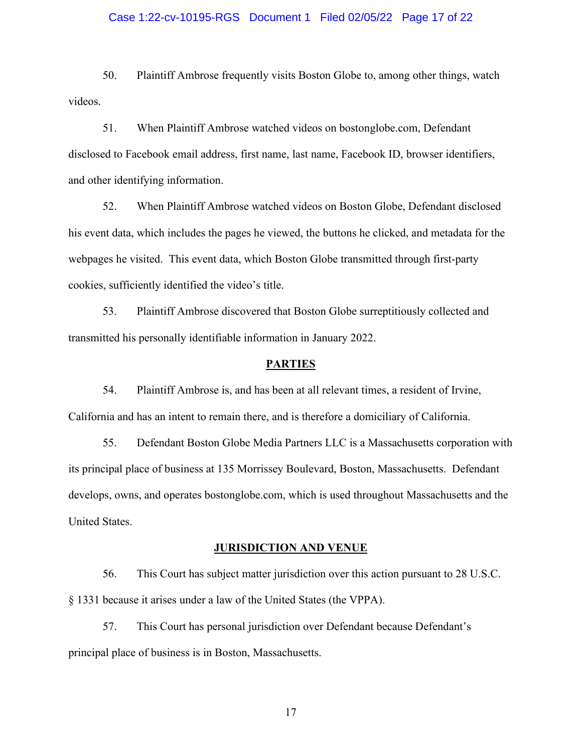#### Case 1:22-cv-10195-RGS Document 1 Filed 02/05/22 Page 17 of 22

50. Plaintiff Ambrose frequently visits Boston Globe to, among other things, watch videos.

51. When Plaintiff Ambrose watched videos on bostonglobe.com, Defendant disclosed to Facebook email address, first name, last name, Facebook ID, browser identifiers, and other identifying information.

52. When Plaintiff Ambrose watched videos on Boston Globe, Defendant disclosed his event data, which includes the pages he viewed, the buttons he clicked, and metadata for the webpages he visited. This event data, which Boston Globe transmitted through first-party cookies, sufficiently identified the video's title.

53. Plaintiff Ambrose discovered that Boston Globe surreptitiously collected and transmitted his personally identifiable information in January 2022.

#### **PARTIES**

54. Plaintiff Ambrose is, and has been at all relevant times, a resident of Irvine, California and has an intent to remain there, and is therefore a domiciliary of California.

55. Defendant Boston Globe Media Partners LLC is a Massachusetts corporation with its principal place of business at 135 Morrissey Boulevard, Boston, Massachusetts. Defendant develops, owns, and operates bostonglobe.com, which is used throughout Massachusetts and the United States.

#### **JURISDICTION AND VENUE**

56. This Court has subject matter jurisdiction over this action pursuant to 28 U.S.C. § 1331 because it arises under a law of the United States (the VPPA).

57. This Court has personal jurisdiction over Defendant because Defendant's principal place of business is in Boston, Massachusetts.

17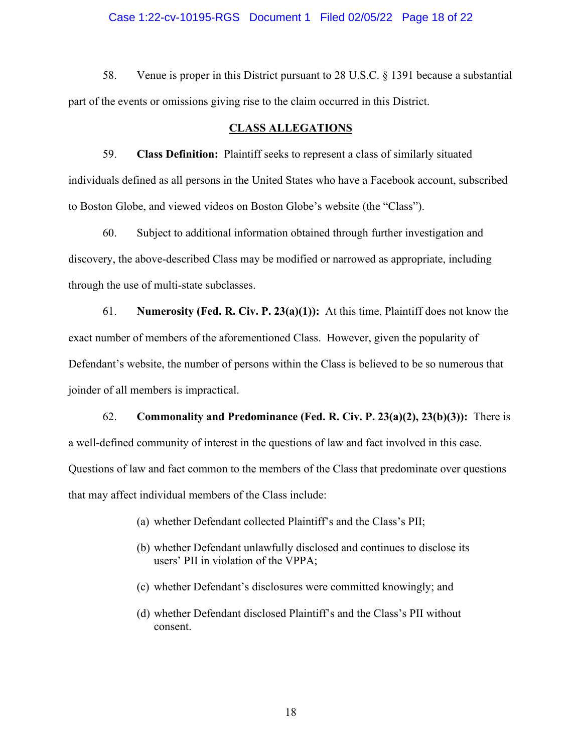#### Case 1:22-cv-10195-RGS Document 1 Filed 02/05/22 Page 18 of 22

58. Venue is proper in this District pursuant to 28 U.S.C. § 1391 because a substantial part of the events or omissions giving rise to the claim occurred in this District.

#### **CLASS ALLEGATIONS**

59. **Class Definition:** Plaintiff seeks to represent a class of similarly situated individuals defined as all persons in the United States who have a Facebook account, subscribed to Boston Globe, and viewed videos on Boston Globe's website (the "Class").

60. Subject to additional information obtained through further investigation and discovery, the above-described Class may be modified or narrowed as appropriate, including through the use of multi-state subclasses.

61. **Numerosity (Fed. R. Civ. P. 23(a)(1)):** At this time, Plaintiff does not know the exact number of members of the aforementioned Class. However, given the popularity of Defendant's website, the number of persons within the Class is believed to be so numerous that joinder of all members is impractical.

62. **Commonality and Predominance (Fed. R. Civ. P. 23(a)(2), 23(b)(3)):** There is a well-defined community of interest in the questions of law and fact involved in this case. Questions of law and fact common to the members of the Class that predominate over questions that may affect individual members of the Class include:

- (a) whether Defendant collected Plaintiff's and the Class's PII;
- (b) whether Defendant unlawfully disclosed and continues to disclose its users' PII in violation of the VPPA;
- (c) whether Defendant's disclosures were committed knowingly; and
- (d) whether Defendant disclosed Plaintiff's and the Class's PII without consent.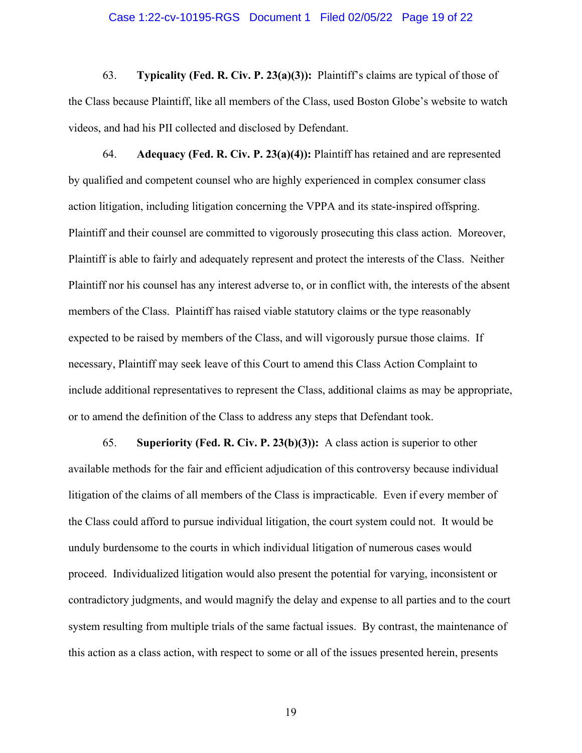#### Case 1:22-cv-10195-RGS Document 1 Filed 02/05/22 Page 19 of 22

63. **Typicality (Fed. R. Civ. P. 23(a)(3)):** Plaintiff's claims are typical of those of the Class because Plaintiff, like all members of the Class, used Boston Globe's website to watch videos, and had his PII collected and disclosed by Defendant.

64. **Adequacy (Fed. R. Civ. P. 23(a)(4)):** Plaintiff has retained and are represented by qualified and competent counsel who are highly experienced in complex consumer class action litigation, including litigation concerning the VPPA and its state-inspired offspring. Plaintiff and their counsel are committed to vigorously prosecuting this class action. Moreover, Plaintiff is able to fairly and adequately represent and protect the interests of the Class. Neither Plaintiff nor his counsel has any interest adverse to, or in conflict with, the interests of the absent members of the Class. Plaintiff has raised viable statutory claims or the type reasonably expected to be raised by members of the Class, and will vigorously pursue those claims. If necessary, Plaintiff may seek leave of this Court to amend this Class Action Complaint to include additional representatives to represent the Class, additional claims as may be appropriate, or to amend the definition of the Class to address any steps that Defendant took.

65. **Superiority (Fed. R. Civ. P. 23(b)(3)):** A class action is superior to other available methods for the fair and efficient adjudication of this controversy because individual litigation of the claims of all members of the Class is impracticable. Even if every member of the Class could afford to pursue individual litigation, the court system could not. It would be unduly burdensome to the courts in which individual litigation of numerous cases would proceed. Individualized litigation would also present the potential for varying, inconsistent or contradictory judgments, and would magnify the delay and expense to all parties and to the court system resulting from multiple trials of the same factual issues. By contrast, the maintenance of this action as a class action, with respect to some or all of the issues presented herein, presents

19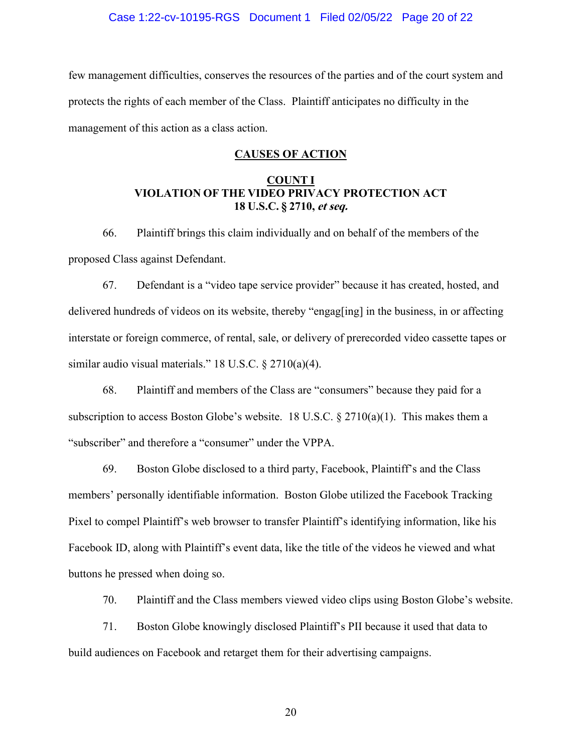#### Case 1:22-cv-10195-RGS Document 1 Filed 02/05/22 Page 20 of 22

few management difficulties, conserves the resources of the parties and of the court system and protects the rights of each member of the Class. Plaintiff anticipates no difficulty in the management of this action as a class action.

#### **CAUSES OF ACTION**

### **COUNT I VIOLATION OF THE VIDEO PRIVACY PROTECTION ACT 18 U.S.C. § 2710, et seq.**

66. Plaintiff brings this claim individually and on behalf of the members of the proposed Class against Defendant.

67. Defendant is a "video tape service provider" because it has created, hosted, and delivered hundreds of videos on its website, thereby "engag[ing] in the business, in or affecting interstate or foreign commerce, of rental, sale, or delivery of prerecorded video cassette tapes or similar audio visual materials." 18 U.S.C. § 2710(a)(4).

68. Plaintiff and members of the Class are "consumers" because they paid for a subscription to access Boston Globe's website. 18 U.S.C. § 2710(a)(1). This makes them a "subscriber" and therefore a "consumer" under the VPPA.

69. Boston Globe disclosed to a third party, Facebook, Plaintiff's and the Class members' personally identifiable information. Boston Globe utilized the Facebook Tracking Pixel to compel Plaintiff's web browser to transfer Plaintiff's identifying information, like his Facebook ID, along with Plaintiff's event data, like the title of the videos he viewed and what buttons he pressed when doing so.

70. Plaintiff and the Class members viewed video clips using Boston Globe's website.

71. Boston Globe knowingly disclosed Plaintiff's PII because it used that data to build audiences on Facebook and retarget them for their advertising campaigns.

20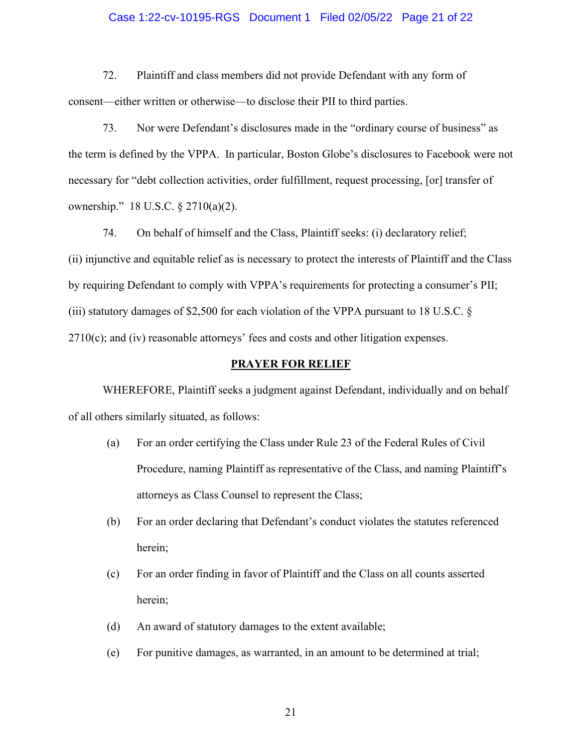#### Case 1:22-cv-10195-RGS Document 1 Filed 02/05/22 Page 21 of 22

72. Plaintiff and class members did not provide Defendant with any form of consent—either written or otherwise—to disclose their PII to third parties.

73. Nor were Defendant's disclosures made in the "ordinary course of business" as the term is defined by the VPPA. In particular, Boston Globe's disclosures to Facebook were not necessary for "debt collection activities, order fulfillment, request processing, [or] transfer of ownership." 18 U.S.C. § 2710(a)(2).

74. On behalf of himself and the Class, Plaintiff seeks: (i) declaratory relief; (ii) injunctive and equitable relief as is necessary to protect the interests of Plaintiff and the Class by requiring Defendant to comply with VPPA's requirements for protecting a consumer's PII; (iii) statutory damages of \$2,500 for each violation of the VPPA pursuant to 18 U.S.C. § 2710(c); and (iv) reasonable attorneys' fees and costs and other litigation expenses.

#### **PRAYER FOR RELIEF**

WHEREFORE, Plaintiff seeks a judgment against Defendant, individually and on behalf of all others similarly situated, as follows:

- (a) For an order certifying the Class under Rule 23 of the Federal Rules of Civil Procedure, naming Plaintiff as representative of the Class, and naming Plaintiff's attorneys as Class Counsel to represent the Class;
- (b) For an order declaring that Defendant's conduct violates the statutes referenced herein;
- (c) For an order finding in favor of Plaintiff and the Class on all counts asserted herein;
- (d) An award of statutory damages to the extent available;
- (e) For punitive damages, as warranted, in an amount to be determined at trial;